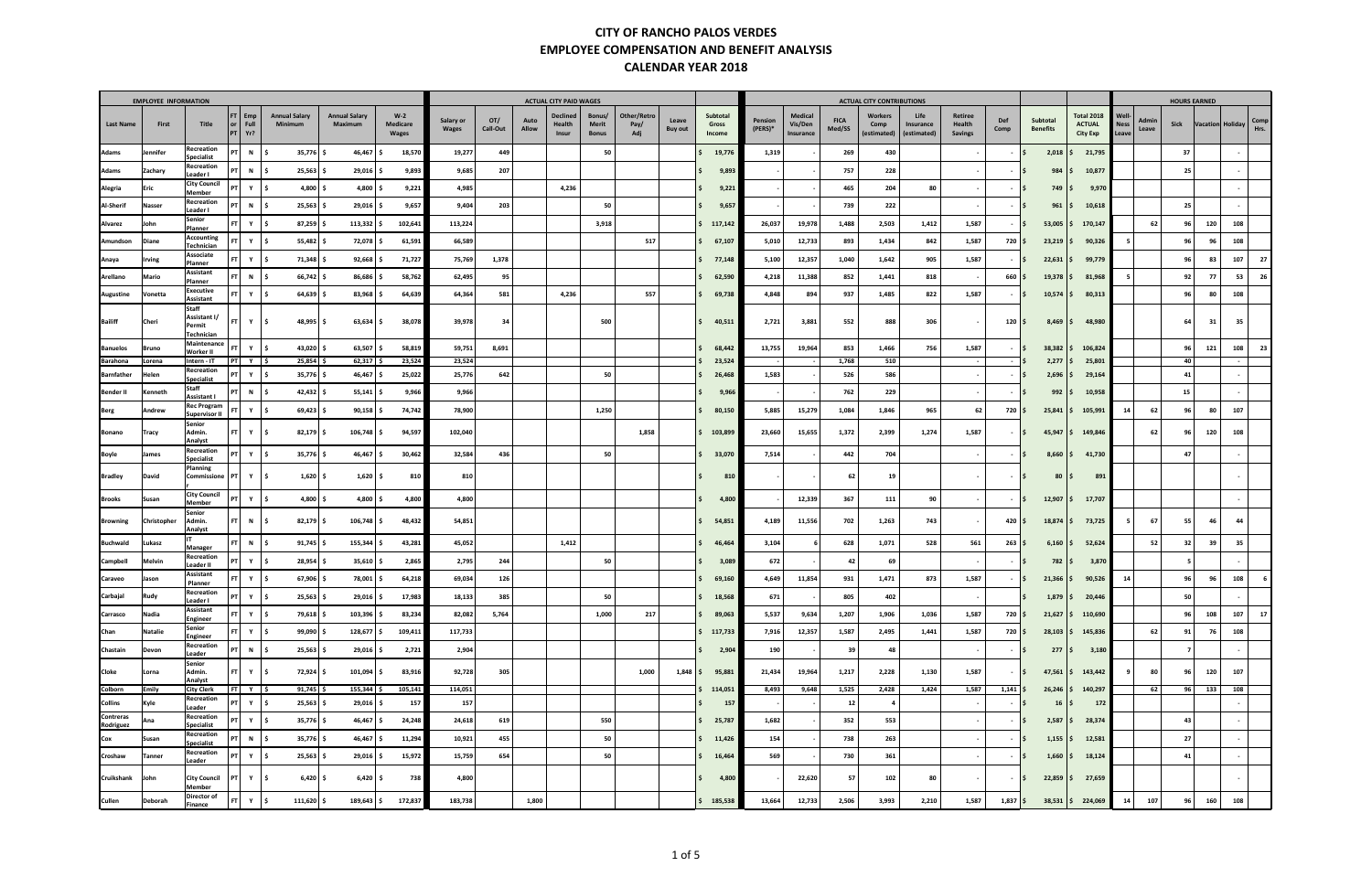|                               | <b>EMPLOYEE INFORMATION</b> |                                               |                                                   |        |                                 |                                 |                            |                           |                 |               | <b>ACTUAL CITY PAID WAGES</b>      |                                        |                            |                         |                             |                      |                                 |                       | <b>ACTUAL CITY CONTRIBUTIONS</b> |                                  |                                     |                     |                               |                                                       |                               |                |                | <b>HOURS EARNED</b> |              |
|-------------------------------|-----------------------------|-----------------------------------------------|---------------------------------------------------|--------|---------------------------------|---------------------------------|----------------------------|---------------------------|-----------------|---------------|------------------------------------|----------------------------------------|----------------------------|-------------------------|-----------------------------|----------------------|---------------------------------|-----------------------|----------------------------------|----------------------------------|-------------------------------------|---------------------|-------------------------------|-------------------------------------------------------|-------------------------------|----------------|----------------|---------------------|--------------|
| <b>Last Name</b>              | First                       | Title                                         | $FT$ Emp<br>or <sub>l</sub><br>Full<br>$PT$ $Yr?$ |        | <b>Annual Salary</b><br>Minimum | <b>Annual Salary</b><br>Maximum | $W-2$<br>Medicare<br>Wages | Salary or<br><b>Wages</b> | OT/<br>Call-Out | Auto<br>Allow | <b>Declined</b><br>Health<br>Insur | Bonus/<br><b>Merit</b><br><b>Bonus</b> | Other/Retro<br>Pay/<br>Adj | Leave<br><b>Buy out</b> | Subtotal<br>Gross<br>Income | Pension<br>$(PERS)*$ | Medical<br>Vis/Den<br>Insurance | <b>FICA</b><br>Med/SS | Workers<br>Comp<br>(estimated)   | Life<br>Insurance<br>(estimated) | Retiree<br>Health<br><b>Savings</b> | <b>Def</b><br>Comp  | Subtotal<br><b>Benefits</b>   | <b>Total 2018</b><br><b>ACTUAL</b><br><b>City Exp</b> | Well-<br><b>Ness</b><br>Leave | Admin<br>Leave | Sick           | Vacation Holiday    | Comp<br>Hrs. |
| <b>Adams</b>                  | Jennifer                    | Recreation<br><b>Specialist</b>               | PT <sup>1</sup><br>N                              |        | $35,776$ \$                     | 46,467                          | 18,570                     | 19,277                    | 449             |               |                                    | 50                                     |                            |                         | 19,776                      | 1,319                |                                 | 269                   | 430                              |                                  |                                     |                     | 2,018                         | 21,795                                                |                               |                | 37             |                     |              |
| Adams                         | Zachary                     | Recreation<br>Leader I                        | PT<br>N                                           |        | $25,563$ \$                     | 29,016                          | 9,893                      | 9,685                     | 207             |               |                                    |                                        |                            |                         | 9,89                        |                      |                                 | 757                   | 228                              |                                  |                                     |                     | 984                           | 10,877                                                |                               |                | 25             |                     |              |
| Alegria                       | Eric                        | <b>City Council</b><br>Member                 | PT                                                | Y S    | $4,800$ \$                      | 4,800 \$                        | 9,221                      | 4,985                     |                 |               | 4,236                              |                                        |                            |                         | 9,221                       |                      |                                 | 465                   | 204                              | 80                               |                                     | $-15$               | $749 \mid \zeta$              | 9,970                                                 |                               |                |                |                     |              |
| Al-Sherif                     | Nasser                      | Recreation<br>Leader I                        | PT                                                | N   \$ | $25,563$ \$                     | 29,016 \$                       | 9,657                      | 9,404                     | 203             |               |                                    | 50                                     |                            |                         | 9,657                       |                      |                                 | 739                   | 222                              |                                  |                                     |                     | 961                           | 10,618                                                |                               |                | 25             |                     |              |
| Alvarez                       | John                        | Senior<br>Planner                             | FT                                                | Y S    | $87,259$ \$                     | $113,332$ \$                    | 102,641                    | 113,224                   |                 |               |                                    | 3,918                                  |                            |                         | 117,142                     | 26,037               | 19,978                          | 1,488                 | 2,503                            | 1,412                            | 1,587                               |                     | 53,005                        | 170,147                                               |                               | 62             | 96             | 120                 | 108          |
| Amundson                      | Diane                       | Accounting<br>Technician                      | FT                                                | YS     | $55,482$ \$                     | 72,078 \$                       | 61,591                     | 66,589                    |                 |               |                                    |                                        | 517                        |                         | 67,107                      | 5,010                | 12,733                          | 893                   | 1,434                            | 842                              | 1,587                               | 720 \$              | $23,219$ $\frac{1}{2}$        | 90,326                                                |                               |                | 96             | 96                  | 108          |
| Anaya                         | Irving                      | Associate<br>Planner                          | $FT$ $Y$ $\frac{1}{5}$                            |        | 71,348 \$                       | 92,668                          | 71,727                     | 75,769                    | 1,378           |               |                                    |                                        |                            |                         | 77,148                      | 5,100                | 12,357                          | 1,040                 | 1,642                            | 905                              | 1,587                               |                     | 22,631                        | 99,779                                                |                               |                | 96             | 83                  | 107<br>- 27  |
| Arellano                      | Mario                       | Assistant<br>Planner                          | FT.                                               | N   \$ | 66,742 \$                       | 86,686                          | 58,762                     | 62,495                    | 95              |               |                                    |                                        |                            |                         | 62,590                      | 4,218                | 11,388                          | 852                   | 1,441                            | 818                              |                                     | $660$ \$            | 19,378                        | 81,968                                                |                               |                | 92             | 77                  | 53           |
| Augustine                     | Vonetta                     | Executive<br>Assistant                        | <b>FT</b>                                         | Y S    | 64,639 \$                       | 83,968                          | 64,639                     | 64,364                    | 581             |               | 4,236                              |                                        | 557                        |                         | 69,738                      | 4,848                | 894                             | 937                   | 1,485                            | 822                              | 1,587                               |                     | $10,574$ $\frac{1}{5}$        | 80,313                                                |                               |                | 96             | 80                  | 108          |
| <b>Bailiff</b>                | Cheri                       | Staff<br>Assistant I/<br>Permit<br>Technician | $FT$ $Y$ $\frac{1}{5}$                            |        | $48,995$ \$                     | $63,634$ \$                     | 38,078                     | 39,978                    | 34              |               |                                    | 500                                    |                            |                         | 40,511                      | 2,721                | 3,881                           | 552                   | 888                              | 306                              |                                     | $120 \mid 5$        | $8,469$ $\frac{5}{7}$         | 48,980                                                |                               |                | 64             | 31                  | 35           |
| <b>Banuelos</b>               | <b>Bruno</b>                | Maintenance<br>Worker II                      | <b>FT</b>                                         | Y \$   | 43,020 \$                       | 63,507                          | 58,819                     | 59,751                    | 8,691           |               |                                    |                                        |                            |                         | 68,442                      | 13,755               | 19,964                          | 853                   | 1,466                            | 756                              | 1,587                               |                     | $38,382$ \$                   | 106,824                                               |                               |                | 96             | 121                 | 108<br>23    |
| Barahona<br><b>Barnfather</b> | Lorena<br>Helen             | Intern - IT<br>Recreation                     | $PT$ $Y$ $\frac{1}{5}$<br>PT                      | YS     | $25,854$ \$<br>$35,776$ \$      | 62,317<br>46,467                | 23,524<br>25,022           | 23,524<br>25,776          | 642             |               |                                    | 50                                     |                            |                         | 23,524<br>26,468            | 1,583                |                                 | 1,768<br>526          | 510<br>586                       |                                  | $\sim$                              |                     | 2,277<br>2,696                | 25,801<br>29,164                                      |                               |                | 40<br>41       |                     |              |
| Bender II                     | Kenneth                     | Specialist<br>Staff                           | PT<br>N                                           | ΙS     | $42,432$ \$                     | 55,141                          | 9,966                      | 9,966                     |                 |               |                                    |                                        |                            |                         | 9,966                       |                      |                                 | 762                   | 229                              |                                  |                                     |                     | 992                           | 10,958                                                |                               |                | 15             |                     |              |
| Berg                          | Andrew                      | <b>Assistant I</b><br><b>Rec Program</b>      | <b>FT</b>                                         | Y   \$ | $69,423$ \$                     | $90,158$ \$                     | 74,742                     | 78,900                    |                 |               |                                    | 1,250                                  |                            |                         | 80,150                      | 5,885                | 15,279                          | 1,084                 | 1,846                            | 965                              | 62                                  | $720 \,$ \$         | 25,841                        | 105,991                                               | 14                            | 62             | 96             | 80                  | 107          |
|                               |                             | Supervisor II<br>Senior                       |                                                   |        |                                 |                                 |                            |                           |                 |               |                                    |                                        |                            |                         |                             |                      |                                 |                       |                                  |                                  |                                     |                     |                               |                                                       |                               |                |                |                     |              |
| Bonano                        | Tracy                       | Admin.<br>Analyst                             | $FT$ $Y$ $\frac{1}{5}$                            |        | $82,179$ \$                     | 106,748 \$                      | 94,597                     | 102,040                   |                 |               |                                    |                                        | 1,858                      |                         | 103,899                     | 23,660               | 15,655                          | 1,372                 | 2,399                            | 1,274                            | 1,587                               |                     | 45,947                        | 149,846                                               |                               | 62             | 96             | 120                 | 108          |
| Boyle                         | James                       | Recreation<br><b>Specialist</b>               | $PT$ $Y$ $\frac{1}{5}$                            |        | $35,776$ \$                     | 46,467<br>- S                   | 30,462                     | 32,584                    | 436             |               |                                    | 50                                     |                            |                         | 33,070                      | 7,514                |                                 | 442                   | 704                              |                                  |                                     |                     | 8,660                         | 41,730<br>s.                                          |                               |                | 47             |                     |              |
| Bradley                       | David                       | Planning<br>Commissione                       | PT                                                | Y S    | $1,620$ \$                      | $1,620$ \$                      | 810                        | 810                       |                 |               |                                    |                                        |                            |                         | 810                         |                      |                                 | 62                    | 19                               |                                  |                                     |                     | $80 \mid \xi$<br>∣S.          | 891                                                   |                               |                |                |                     |              |
| <b>Brooks</b>                 | Susan                       | <b>City Council</b><br>Member                 | PT                                                | Y \$   | $4,800$ \$                      | 4,800 \$                        | 4,800                      | 4,800                     |                 |               |                                    |                                        |                            |                         | 4,800                       |                      | 12,339                          | 367                   | 111                              | 90                               |                                     |                     | 12,907<br>ΙS                  | 17,707<br>l S                                         |                               |                |                |                     |              |
| <b>Browning</b>               | Christopher                 | Senior<br>Admin.<br>Analyst                   | FT.                                               | N 5    | $82,179$ \$                     | $106,748$ \$                    | 48,432                     | 54,851                    |                 |               |                                    |                                        |                            |                         | 54,851                      | 4,189                | 11,556                          | 702                   | 1,263                            | 743                              |                                     | $420 \,$ $\uparrow$ | $18,874$ \$                   | 73,725                                                |                               | 67             | 55             | 46                  | 44           |
| <b>Buchwald</b>               | Lukasz                      | Manager                                       | <b>FT</b><br>N                                    |        | $91,745$ \$                     | 155,344                         | 43,281                     | 45,052                    |                 |               | 1,412                              |                                        |                            |                         | 46,464                      | 3,104                |                                 | 628                   | 1,071                            | 528                              | 561                                 | $263 \mid 5$        | $6,160$ $\frac{1}{2}$         | 52,624                                                |                               | 52             | 32             | 39                  | 35           |
| Campbell                      | Melvin                      | Recreation<br>Leader II                       | $PT$ $Y$ $\frac{1}{5}$                            |        | $28,954$ \$                     | $35,610$ \$                     | 2,865                      | 2,795                     | 244             |               |                                    | 50                                     |                            |                         | 3,089                       | 672                  |                                 | 42                    | 69                               |                                  |                                     | $-1s$               | 782                           | 3,870<br>IS.                                          |                               |                |                |                     |              |
| Caraveo                       | Jason                       | Assistant<br>Planner                          | $FT$ $Y$ $\frac{1}{5}$                            |        | 67,906 \$                       | 78,001 \$                       | 64,218                     | 69,034                    | 126             |               |                                    |                                        |                            |                         | 69,160                      | 4,649                | 11,854                          | 931                   | 1,471                            | 873                              | 1,587                               |                     | $21,366$ \$                   | 90,526                                                | 14                            |                | 96             | 96                  | 108          |
| Carbajal                      | Rudy                        | Recreation<br>Leader I                        | PT                                                | Y \$   | $25,563$ \$                     | $29,016$ \$                     | 17,983                     | 18,133                    | 385             |               |                                    | 50                                     |                            |                         | Ŝ.<br>18,568                | 671                  |                                 | 805                   | 402                              |                                  |                                     |                     | l \$<br>$1,879$ $\frac{1}{2}$ | 20,446                                                |                               |                | 50             |                     |              |
| Carrasco                      | Nadia                       | Assistant<br>Engineer                         | $FT$ $Y$ $\frac{1}{2}$                            |        | 79,618 \$                       | 103,396 \$                      | 83,234                     | 82,082                    | 5,764           |               |                                    | 1,000                                  | 217                        |                         | 89,063                      | 5,537                | 9,634                           | 1,207                 | 1,906                            | 1,036                            | 1,587                               | 720 \$              |                               | $21,627$ \$ 110,690                                   |                               |                | 96             | 108                 | 107<br>17    |
| Chan                          | <b>Natalie</b>              | Senior<br>Engineer                            | $FT$ $Y$ $\frac{1}{5}$                            |        | 99,090 \$                       | 128,677 \$                      | 109,411                    | 117,733                   |                 |               |                                    |                                        |                            |                         | \$117,733                   | 7,916                | 12,357                          | 1,587                 | 2,495                            | 1,441                            | 1,587                               | 720 \$              |                               | $28,103$ \$ 145,836                                   |                               | 62             | 91             | 76                  | 108          |
| Chastain                      | Devon                       | Recreation<br>Leader                          | $PT$ N $\frac{1}{2}$                              |        | $25,563$ \$                     | 29,016 \$                       | 2,721                      | 2,904                     |                 |               |                                    |                                        |                            |                         | 2,904                       | 190                  |                                 | 39                    | 48                               |                                  | $\sim$                              | $-15$               | $277 \mid \xi$                | 3,180                                                 |                               |                | $\overline{7}$ |                     |              |
| Cloke                         | Lorna                       | Senior<br>Admin.<br>Analyst                   | $FT$ $Y$ $\frac{1}{5}$                            |        | 72,924 \$                       | 101,094 \$                      | 83,916                     | 92,728                    | 305             |               |                                    |                                        | 1,000                      |                         | $1,848$ \$ 95,881           | 21,434               | 19,964                          | 1,217                 | 2,228                            | 1,130                            | 1,587                               | $ \frac{15}{2}$     |                               | $47,561$ \$ 143,442                                   |                               | 80             | 96             | 120                 | 107          |
| Colborn                       | Emily                       | <b>City Clerk</b>                             | FT  Y  \$                                         |        | $91,745$ \$                     | $155,344$ \$                    | 105,141                    | 114,051                   |                 |               |                                    |                                        |                            |                         | 114,051                     | 8,493                | 9,648                           | 1,525                 | 2,428                            | 1,424                            | 1,587                               | $1,141$ \$          | $26,246$ $\frac{1}{2}$        | 140,297                                               |                               | 62             | 96             | 133                 | 108          |
| <b>Collins</b>                | Kyle                        | Recreation<br>Leader                          | $PT$ $Y$ $\frac{1}{5}$                            |        | $25,563$ \$                     | 29,016 \$                       | 157                        | 157                       |                 |               |                                    |                                        |                            |                         | 157                         |                      |                                 | 12                    | - 4                              |                                  |                                     | $-15$               | $16 \mid \xi$                 | 172                                                   |                               |                |                |                     |              |
| Contreras<br>Rodriguez        | Ana                         | Recreation<br>Specialist                      | $PT$ Y $\frac{1}{5}$                              |        | $35,776$ \$                     | 46,467 \$                       | 24,248                     | 24,618                    | 619             |               |                                    | 550                                    |                            |                         | 25,787                      | 1,682                |                                 | 352                   | 553                              |                                  |                                     | $-$ IS              | $2,587$ \$                    | 28,374                                                |                               |                | 43             |                     |              |
| Cox                           | Susan                       | Recreation<br>Specialist                      | PT                                                | $N$ \$ | $35,776$ \$                     | $46,467$ \$                     | 11,294                     | 10,921                    | 455             |               |                                    | 50                                     |                            |                         | Ś.<br>11,426                | 154                  |                                 | 738                   | 263                              |                                  |                                     |                     | $1,155$ $\frac{1}{2}$         | 12,581                                                |                               |                | 27             |                     |              |
| Croshaw                       | Tanner                      | Recreation<br>Leader                          | $PT$ $Y$ $\frac{1}{2}$                            |        | $25,563$ \$                     | 29,016 \$                       | 15,972                     | 15,759                    | 654             |               |                                    | 50                                     |                            |                         | 16,464                      | 569                  |                                 | 730                   | 361                              |                                  |                                     | $-1S$               | $1,660$ \$                    | 18,124                                                |                               |                | 41             |                     |              |
| <b>Cruikshank</b>             | John                        | <b>City Council</b><br>Member                 | $PT$ $Y$ $\frac{1}{5}$                            |        | $6,420$ \$                      | $6,420$ \$                      | 738                        | 4,800                     |                 |               |                                    |                                        |                            |                         | 4,800                       |                      | 22,620                          | 57                    | 102                              | 80                               | $\sim$                              | $-15$               |                               | $22,859$ \$ 27,659                                    |                               |                |                |                     |              |
| Cullen                        | Deborah                     | Director of<br>Finance                        | $FT$ $Y$ $\frac{1}{5}$                            |        | 111,620 \$                      | 189,643 \$                      | 172,837                    | 183,738                   |                 | 1,800         |                                    |                                        |                            |                         | \$185,538                   | 13,664               | 12,733                          | 2,506                 | 3,993                            | 2,210                            | 1,587                               | $1,837$ \$          |                               | $38,531 \mid \xi$ 224,069                             | 14                            | 107            | 96             | 160                 | 108          |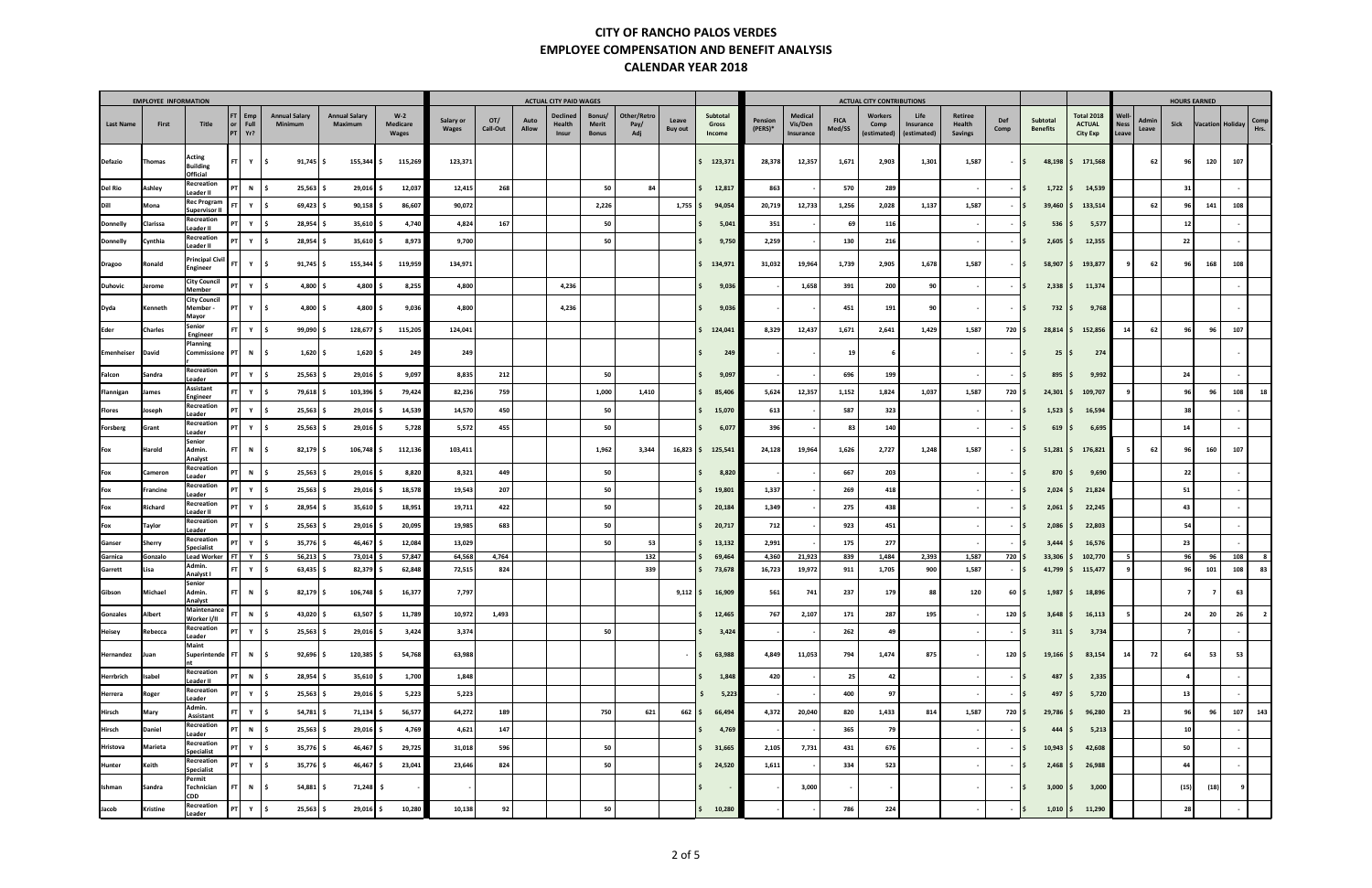|                    | <b>EMPLOYEE INFORMATION</b> |                                                   |                                 |                                        |                                 |                                   |                    |                        |               | <b>ACTUAL CITY PAID WAGES</b>      |                                        |                            |                         |                             |                    |                                 |                       | <b>ACTUAL CITY CONTRIBUTIONS</b> |                                  |                                     |                          |                                               |                                                       |                               |                | <b>HOURS EARNED</b> |                  |            |                         |
|--------------------|-----------------------------|---------------------------------------------------|---------------------------------|----------------------------------------|---------------------------------|-----------------------------------|--------------------|------------------------|---------------|------------------------------------|----------------------------------------|----------------------------|-------------------------|-----------------------------|--------------------|---------------------------------|-----------------------|----------------------------------|----------------------------------|-------------------------------------|--------------------------|-----------------------------------------------|-------------------------------------------------------|-------------------------------|----------------|---------------------|------------------|------------|-------------------------|
| Last Name          | First                       | Title<br>or <sub>l</sub>                          | $FT$ Emp<br>Full<br>$PT$ $Yr$ ? | <b>Annual Salary</b><br><b>Minimum</b> | <b>Annual Salary</b><br>Maximum | $W-2$<br>Medicare<br><b>Wages</b> | Salary or<br>Wages | OT/<br><b>Call-Out</b> | Auto<br>Allow | <b>Declined</b><br>Health<br>Insur | Bonus/<br><b>Merit</b><br><b>Bonus</b> | Other/Retro<br>Pay/<br>Adj | Leave<br><b>Buy out</b> | Subtotal<br>Gross<br>Income | Pension<br>(PERS)* | Medical<br>Vis/Den<br>Insurance | <b>FICA</b><br>Med/SS | Workers<br>Comp<br>(estimated)   | Life<br>Insurance<br>(estimated) | Retiree<br>Health<br><b>Savings</b> | Def<br>Comp              | Subtotal<br><b>Benefits</b>                   | <b>Total 2018</b><br><b>ACTUAL</b><br><b>City Exp</b> | Well-<br><b>Ness</b><br>Leave | Admin<br>Leave | Sick                | Vacation Holiday |            | Comp<br>Hrs.            |
| <b>Defazio</b>     | Thomas                      | Acting<br><b>Building</b><br>Official             | FT Y                            | $91,745$ \$<br>l \$                    | $155,344$ \$                    | 115,269                           | 123,371            |                        |               |                                    |                                        |                            |                         | \$123,371                   | 28,378             | 12,357                          | 1,671                 | 2,903                            | 1,301                            | 1,587                               | $-15$                    | 48,198<br>IS.                                 | 171,568                                               |                               | 62             | 96                  | 120              | 107        |                         |
| <b>Del Rio</b>     | Ashley                      | Recreation<br>PT <sup>1</sup><br>Leader II        | N   \$                          | $25,563$ \$                            | $29,016$ \$                     | 12,037                            | 12,415             | 268                    |               |                                    | 50                                     | 84                         |                         | 12,817                      | 863                |                                 | 570                   | 289                              |                                  |                                     | $-15$                    | $1,722$   \$                                  | 14,539                                                |                               |                | 31                  |                  |            |                         |
| Dill               | Mona                        | <b>Rec Program</b><br>FT.<br><b>Supervisor II</b> | Y                               | $69,423$ \$<br>١s                      | $90,158$ \$                     | 86,607                            | 90,072             |                        |               |                                    | 2,226                                  |                            | $1,755$ \$              | 94,054                      | 20,719             | 12,733                          | 1,256                 | 2,028                            | 1,137                            | 1,587                               |                          | $39,460$   \$<br>l S                          | 133,514                                               |                               | 62             | 96                  | 141              | 108        |                         |
| Donnelly           | Clarissa                    | Recreation<br>Leader II                           | PT Y                            | $28,954$ \$<br>l \$                    | $35,610$ \$                     | 4,740                             | 4,824              | 167                    |               |                                    | 50                                     |                            |                         | 5,041                       | 351                |                                 | 69                    | 116                              |                                  |                                     |                          | $536 \,   \, \$$<br>IŞ.                       | 5,577                                                 |                               |                | 12                  |                  |            |                         |
| <b>Donnelly</b>    | Cynthia                     | Recreation<br>PT<br>Leader II                     | Y                               | $28,954$ \$<br>I \$                    | $35,610$ \$                     | 8,973                             | 9,700              |                        |               |                                    | 50                                     |                            |                         | 9,750                       | 2,259              |                                 | 130                   | 216                              |                                  |                                     | $\sim$                   | $2,605$ \$<br>$\overline{\phantom{a}}$        | 12,355                                                |                               |                | 22                  |                  |            |                         |
| <b>Dragoo</b>      | Ronald                      | <b>Principal Civil</b><br>-FT I<br>Engineer       | Y S                             | $91,745$ \$                            | 155,344 \$                      | 119,959                           | 134,971            |                        |               |                                    |                                        |                            |                         | 134,971                     | 31,032             | 19,964                          | 1,739                 | 2,905                            | 1,678                            | 1,587                               | $\sim$                   | 58,907<br>$\sqrt{5}$                          | 193,877                                               |                               | 62             | 96                  | 168              | 108        |                         |
| <b>Duhovic</b>     | Jerome                      | <b>City Council</b><br><b>Member</b>              | $PT$ $Y$                        | 4,800 $\frac{1}{2}$<br>l S             | $4,800$ \$                      | 8,255                             | 4,800              |                        |               | 4,236                              |                                        |                            |                         | 9,036                       |                    | 1,658                           | 391                   | 200                              | 90                               |                                     |                          | $2,338$ \$<br>l S                             | 11,374                                                |                               |                |                     |                  |            |                         |
| Dyda               | Kenneth                     | <b>City Council</b><br>Member-<br>Mayor           | Y<br>PT                         | $4,800$ \$<br>١s                       | $4,800$ \$                      | 9,036                             | 4,800              |                        |               | 4,236                              |                                        |                            |                         | 9,03                        |                    |                                 | 451                   | 191                              | 90                               |                                     | $\overline{\phantom{a}}$ | 732   \$<br>$\overline{\phantom{a}}$          | 9,768                                                 |                               |                |                     |                  |            |                         |
| Eder               | Charles                     | Senior<br>Engineer                                | $FT$ $Y$ $S$                    | 99,090 \$                              | $128,677$ \$                    | 115,205                           | 124,041            |                        |               |                                    |                                        |                            |                         | 124,041                     | 8,329              | 12,437                          | 1,671                 | 2,641                            | 1,429                            | 1,587                               | $720 \,$ \$              | $28,814$ \$                                   | 152,856                                               | 14                            | 62             | 96                  | 96               | 107        |                         |
| Emenheiser         | David                       | Planning<br>Commissione<br>PTI                    | N \$                            | $1,620$ \$                             | 1,620                           | 249                               | 249                |                        |               |                                    |                                        |                            |                         | 249                         |                    |                                 | 19                    |                                  |                                  |                                     |                          | $\overline{\phantom{a}}$<br>25<br>١s          | 274                                                   |                               |                |                     |                  |            |                         |
| Falcon             | Sandra                      | Recreation<br>Leader                              | $PT$ $Y$ $S$                    | $25,563$ \$                            | $29,016$ \$                     | 9,097                             | 8,835              | 212                    |               |                                    | 50                                     |                            |                         | 9,097                       |                    |                                 | 696                   | 199                              |                                  |                                     | <b>.</b>                 | 895<br>۱s<br>l S                              | 9,992                                                 |                               |                | 24                  |                  |            |                         |
| Flannigan          | James                       | Assistant<br>Engineer                             | $FT$ $Y$ $\frac{1}{5}$          | 79,618   \$                            | $103,396$ \$                    | 79,424                            | 82,236             | 759                    |               |                                    | 1,000                                  | 1,410                      |                         | 85,406                      | 5,624              | 12,357                          | 1,152                 | 1,824                            | 1,037                            | 1,587                               | 720 \$                   | $24,301$ $\frac{1}{2}$                        | 109,707                                               |                               |                | 96                  | 96               | 108        |                         |
| Flores             | Joseph                      | Recreation<br>Leader                              | $PT$ $Y$ $\frac{1}{5}$          | $25,563$ \$                            | $29,016$ \$                     | 14,539                            | 14,570             | 450                    |               |                                    | 50                                     |                            |                         | 15,070                      | 613                |                                 | 587                   | 323                              |                                  |                                     | $-15$                    | $1,523$ \$                                    | 16,594                                                |                               |                | 38                  |                  |            |                         |
| Forsberg           | Grant                       | Recreation<br>Leader                              | $PT$ $Y$                        | $25,563$ \$<br>l \$                    | 29,016 \$                       | 5,728                             | 5,572              | 455                    |               |                                    | 50                                     |                            |                         | 6,077                       | 396                |                                 | 83                    | 140                              |                                  |                                     |                          | $619 \mid \xi$<br>l S                         | 6,695                                                 |                               |                | 14                  |                  |            |                         |
| Fox                | Harold                      | Senior<br>Admin.<br>Analyst                       | $FT$ N $\frac{1}{5}$            | $82,179$ \$                            | $106,748$ \$                    | 112,136                           | 103,411            |                        |               |                                    | 1,962                                  | 3,344                      | $16,823$ \$             | 125,541                     | 24,128             | 19,964                          | 1,626                 | 2,727                            | 1,248                            | 1,587                               | $-15$                    | $51,281$ \$                                   | 176,821                                               |                               | 62             | 96                  | 160              | 107        |                         |
| Fox                | Cameron                     | Recreation<br>.eader                              | PT<br>$N$ \$                    | $25,563$ \$                            | $29,016$ \$                     | 8,820                             | 8,321              | 449                    |               |                                    | 50                                     |                            |                         | 8,820                       |                    |                                 | 667                   | 203                              |                                  |                                     |                          | 870 S<br>IS.                                  | 9,690                                                 |                               |                | 22                  |                  |            |                         |
| Fox                | Francine                    | Recreation<br>PT <sup>1</sup><br>Leader           | Y                               | $25,563$ \$                            | 29,016                          | 18,578                            | 19,543             | 207                    |               |                                    | 50                                     |                            |                         | 19,801                      | 1,337              |                                 | 269                   | 418                              |                                  |                                     |                          | $2,024$ \$<br>l S                             | 21,824                                                |                               |                | 51                  |                  |            |                         |
| Fox                | Richard                     | Recreation<br>Leader II                           | $PT$ $Y$ $\frac{1}{5}$          | $28,954$ \$                            | $35,610$ \$                     | 18,951                            | 19,711             | 422                    |               |                                    | 50                                     |                            |                         | 20,184                      | 1,349              |                                 | 275                   | 438                              |                                  |                                     |                          | 2,061<br>l S                                  | 22,245                                                |                               |                | 43                  |                  |            |                         |
| Fox                | Taylor                      | Recreation<br>Leader                              | $PT$ $Y$ $\frac{1}{5}$          | $25,563$ \$                            | $29,016$ \$                     | 20,095                            | 19,985             | 683                    |               |                                    | 50                                     |                            |                         | 20,717                      | 712                |                                 | 923                   | 451                              |                                  |                                     | $\sim$                   | $2,086$ \$<br>IS.                             | 22,803                                                |                               |                | 54                  |                  |            |                         |
| Ganser             | Sherry                      | Recreation<br>PT<br><b>Specialist</b>             | Y                               | $35,776$ \$                            | 46,467                          | 12,084                            | 13,029             |                        |               |                                    | 50                                     | 53                         |                         | 13,132                      | 2,991              |                                 | 175                   | 277                              |                                  |                                     |                          | 3,444<br>l S                                  | 16,576                                                |                               |                | 23                  |                  |            |                         |
| Garnica<br>Garrett | Gonzalo<br>Lisa             | Lead Worker   FT   $Y$   $\zeta$<br>Admin.<br>FT. | Y                               | $56,213$ \$<br>$63,435$ \$<br>۱s       | 73,014 \$<br>82,379 \$          | 57,847<br>62,848                  | 64,568<br>72,515   | 4,764<br>824           |               |                                    |                                        | 132<br>339                 |                         | 69,464<br>73,678            | 4,360<br>16,723    | 21,923<br>19,972                | 839<br>911            | 1,484<br>1,705                   | 2,393<br>900                     | 1,587<br>1,587                      | 720 S                    | 33,306<br>l S                                 | 102,770                                               | - 5<br>- 9                    |                | 96<br>96            | 96<br>101        | 108<br>108 | 8<br>83                 |
| Gibson             | Michael                     | Analyst I<br>Senior                               | ET L<br>$N \rightarrow$         | 82,179                                 | $106,748$ \$                    | 16,377                            | 7,797              |                        |               |                                    |                                        |                            | $9,112$ \$              | 16,909                      | 561                | 741                             | 237                   | 179                              | 88                               | 120                                 | $60 \mid 5$              |                                               | $41,799$ \$ 115,477<br>$1,987$ \$ 18,896              |                               |                |                     |                  |            |                         |
| Gonzales           | Albert                      | Analyst<br>Maintenance                            | FT<br>N \$                      | 43,020 \$                              | $63,507$ \$                     | 11,789                            | 10,972             | 1,493                  |               |                                    |                                        |                            |                         | 12,465<br>S.                | 767                | 2,107                           | 171                   | 287                              | 195                              |                                     | $120 \, \vert \, 5$      | $3,648$ $\frac{1}{2}$                         | 16,113                                                | - 5                           |                | 24                  | 20               | 26         | $\overline{\mathbf{2}}$ |
| Heisey             | Rebecca                     | Worker I/II<br>Recreation                         | $PT$ $Y$ $\frac{1}{5}$          | $25,563$ \$                            | 29,016 \$                       | 3,424                             | 3,374              |                        |               |                                    | 50                                     |                            |                         | 3,424                       |                    |                                 | 262                   | 49                               |                                  |                                     | $-15$                    | $311 \,$ \$                                   | 3,734                                                 |                               |                | $\overline{7}$      |                  |            |                         |
| Hernandez          | Juan                        | Leader<br>Maint<br>Superintende   FT              | N 5                             | 92,696 \$                              | 120,385 \$                      | 54,768                            | 63,988             |                        |               |                                    |                                        |                            | $\sim$                  | 63,988<br>l S               | 4,849              | 11,053                          | 794                   | 1,474                            | 875                              |                                     | $120 \mid 5$             | $19,166$ \$                                   | 83,154                                                | 14                            | 72             | 64                  | 53               | 53         |                         |
| Herrbrich          | Isabel                      | Recreation<br>Leader II                           | $PT$ N $\frac{1}{2}$            | $28,954$ \$                            | 35,610 \$                       | 1,700                             | 1,848              |                        |               |                                    |                                        |                            |                         | 1,848                       | 420                |                                 | 25                    | 42                               |                                  |                                     |                          | 487<br>I\$<br>IS.                             | 2,335                                                 |                               |                | $\overline{a}$      |                  |            |                         |
| Herrera            | Roger                       | Recreation<br>Leader                              | $PT$ $Y$ $\frac{1}{5}$          | $25,563$ \$                            | $29,016$ \$                     | 5,223                             | 5,223              |                        |               |                                    |                                        |                            |                         | 5,223<br>S                  |                    |                                 | 400                   | 97                               |                                  |                                     | $-15$                    | $497 \mid \xi$                                | 5,720                                                 |                               |                | 13                  |                  |            |                         |
| Hirsch             | Mary                        | Admin.<br>Assistant                               | $FT$ $Y$ $\frac{1}{5}$          | $54,781$ \$                            | 71,134 \$                       | 56,577                            | 64,272             | 189                    |               |                                    | 750                                    | 621                        | $662 \mid 5$            | 66,494                      | 4,372              | 20,040                          | 820                   | 1,433                            | 814                              | 1,587                               | 720 \$                   | $29,786$ \$                                   | 96,280                                                | 23                            |                | 96                  | 96               | 107        | 143                     |
| Hirsch             | Daniel                      | Recreation<br>Leader                              | $PT$ N $\frac{1}{2}$            | 25,563 \$                              | 29,016 \$                       | 4,769                             | 4,621              | 147                    |               |                                    |                                        |                            |                         | 4,769                       |                    |                                 | 365                   | 79                               |                                  |                                     |                          | $444$   \$<br>$\overline{\phantom{a}}$        | 5,213                                                 |                               |                | 10                  |                  |            |                         |
| Hristova           | Marieta                     | Recreation<br><b>Specialist</b>                   | $PT$ $Y$ $\frac{1}{5}$          | $35,776$ \$                            | 46,467 \$                       | 29,725                            | 31,018             | 596                    |               |                                    | 50                                     |                            |                         | 31,665                      | 2,105              | 7,731                           | 431                   | 676                              |                                  |                                     | <b>.</b>                 | $10,943$ \$<br>$\mathsf{S}$                   | 42,608                                                |                               |                | 50                  |                  |            |                         |
| <b>Hunter</b>      | Keith                       | Recreation<br>PT<br><b>Specialist</b>             | Y                               | $35,776$ \$<br>l \$                    | $46,467$ \$                     | 23,041                            | 23,646             | 824                    |               |                                    | 50                                     |                            |                         | 24,520                      | 1,611              |                                 | 334                   | 523                              |                                  |                                     |                          | $2,468$ \$<br>l S                             | 26,988                                                |                               |                | 44                  |                  |            |                         |
| Ishman             | Sandra                      | Permit<br>Technician<br>CDD                       | $FT$ N $\frac{1}{2}$            | $54,881$ \$                            | 71,248 \$                       |                                   |                    |                        |               |                                    |                                        |                            |                         |                             |                    | 3,000                           |                       | $\sim$                           |                                  |                                     |                          | $3,000$ $\mid$ \$<br>$\overline{\phantom{a}}$ | 3,000                                                 |                               |                | (15)                | (18)             | - 9        |                         |
| Jacob              | Kristine                    | Recreation<br>Leader                              | PT Y                            | $25,563$ \$<br>I\$                     | $29,016$ \$                     | 10,280                            | 10,138             | 92                     |               |                                    | 50                                     |                            |                         | 10,280                      |                    |                                 | 786                   | 224                              |                                  |                                     |                          | I\$.                                          | $1,010$ \$ 11,290                                     |                               |                | 28                  |                  |            |                         |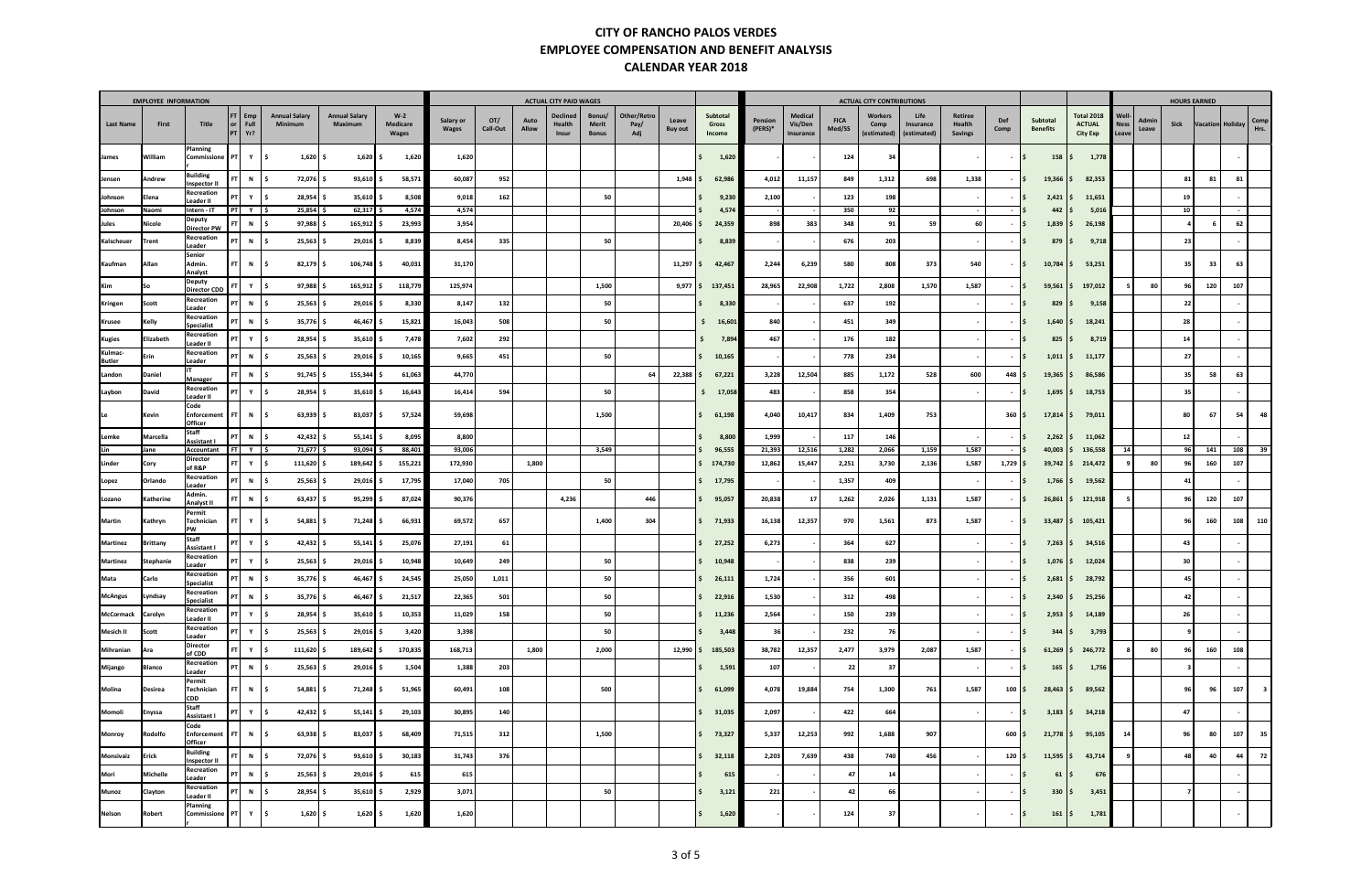|                          | <b>EMPLOYEE INFORMATION</b> |                                                             |                                       |                                 |                                 |                                   |                           |                 |               | <b>ACTUAL CITY PAID WAGES</b>      |                                 |                            |                         |                             |                    |                                 |                       | <b>ACTUAL CITY CONTRIBUTIONS</b> |                                  |                                     |                                    |                              |                                                       |                               |                        | <b>HOURS EARNED</b> |     |              |
|--------------------------|-----------------------------|-------------------------------------------------------------|---------------------------------------|---------------------------------|---------------------------------|-----------------------------------|---------------------------|-----------------|---------------|------------------------------------|---------------------------------|----------------------------|-------------------------|-----------------------------|--------------------|---------------------------------|-----------------------|----------------------------------|----------------------------------|-------------------------------------|------------------------------------|------------------------------|-------------------------------------------------------|-------------------------------|------------------------|---------------------|-----|--------------|
| <b>Last Name</b>         | First                       | Title                                                       | $FT$ Emp<br>Full<br>or<br>Yr?<br>PT I | <b>Annual Salary</b><br>Minimum | <b>Annual Salary</b><br>Maximum | $W-2$<br><b>Medicare</b><br>Wages | Salary or<br><b>Wages</b> | OT/<br>Call-Out | Auto<br>Allow | <b>Declined</b><br>Health<br>Insur | Bonus/<br>Merit<br><b>Bonus</b> | Other/Retro<br>Pay/<br>Adj | Leave<br><b>Buy out</b> | Subtotal<br>Gross<br>Income | Pension<br>(PERS)* | Medical<br>Vis/Den<br>Insurance | <b>FICA</b><br>Med/SS | Workers<br>Comp<br>(estimated)   | Life<br>Insurance<br>(estimated) | Retiree<br>Health<br><b>Savings</b> | Def<br>Comp                        | Subtotal<br><b>Benefits</b>  | <b>Total 2018</b><br><b>ACTUAL</b><br><b>City Exp</b> | Well-<br><b>Ness</b><br>Leave | Admir<br>Sick<br>Leave | Vacation Holiday    |     | Comp<br>Hrs. |
| James                    | William                     | Planning<br>Commissione                                     | PTI<br>Y                              | $1,620$ \$<br>l S               | 1,620                           | 1,620<br>s.                       | 1,620                     |                 |               |                                    |                                 |                            |                         | 1,620                       |                    |                                 | 124                   | 34                               |                                  |                                     | $-15$                              | 158                          | 1,778<br>I\$.                                         |                               |                        |                     |     |              |
| Jensen                   | Andrew                      | Building<br>Inspector I                                     | N                                     | 72,076 \$<br>۱s                 | 93,610                          | 58,571                            | 60,087                    | 952             |               |                                    |                                 |                            | 1,948                   | 62,986                      | 4,012              | 11,157                          | 849                   | 1,312                            | 698                              | 1,338                               |                                    | $19,366$   \$<br>l S         | 82,353                                                |                               |                        | 81<br>81            | 81  |              |
| Johnson                  | Elena                       | Recreation<br>Leader II                                     | PT<br>Y                               | $28,954$ \$<br>l S              | 35,610                          | 8,508                             | 9,018                     | 162             |               |                                    | 50                              |                            |                         | 9,230                       | 2,100              |                                 | 123                   | 198                              |                                  |                                     | <b>.</b>                           | 2,421<br>IS.                 | 11,651                                                |                               |                        | 19                  |     |              |
| Johnson                  | Naomi                       | Intern - IT                                                 | $PT$ $Y$ $\frac{1}{5}$                | 25,854                          | 62,317                          | 4,574                             | 4,574                     |                 |               |                                    |                                 |                            |                         | 4,574                       |                    |                                 | 350                   | 92                               |                                  |                                     |                                    | 442                          | 5,016                                                 |                               |                        | 10                  |     |              |
| Jules                    | Nicole                      | Deputy<br><b>Director PW</b>                                | N   \$                                | $97,988$ $\frac{5}{7}$          | 165,912                         | 23,993                            | 3,954                     |                 |               |                                    |                                 |                            | 20,406                  | 24,359                      | 898                | 383                             | 348                   | 91                               | 59                               | 60                                  |                                    | 1,839<br>IS.                 | 26,198                                                |                               |                        |                     | 62  |              |
| Kalscheuer               | Trent                       | Recreation<br>Leader                                        | N \$                                  | 25,563                          | 29,016                          | 8,839                             | 8,454                     | 335             |               |                                    | 50                              |                            |                         | 8,839                       |                    |                                 | 676                   | 203                              |                                  |                                     | $\overline{\phantom{a}}$<br>$\sim$ | 879                          | 9,718<br>IS.                                          |                               |                        | 23                  |     |              |
| Kaufman                  | Allan                       | Senior<br>Admin.<br>Analyst                                 | FT I<br>N S                           | $82,179$ \$                     | 106,748                         | 40,031<br>.s                      | 31,170                    |                 |               |                                    |                                 |                            | 11,297                  | 42,467                      | 2,244              | 6,239                           | 580                   | 808                              | 373                              | 540                                 | $-15$                              | 10,784                       | 53,251                                                |                               |                        | 33<br>35            | 63  |              |
| Kim                      | So                          | Deputy<br><b>Director CDD</b>                               | Y<br>FT                               | $97,988$ \$<br>l S              | 165,912                         | 118,779                           | 125,974                   |                 |               |                                    | 1,500                           |                            | 9,977                   | 137,451                     | 28,965             | 22,908                          | 1,722                 | 2,808                            | 1,570                            | 1,587                               |                                    | 59,561<br>l S                | 197,012                                               |                               | 80                     | 120<br>96           | 107 |              |
| Kringen                  | Scott                       | Recreation<br>Leader                                        | $\mathbf N$<br>PT                     | $25,563$ \$                     | 29,016                          | 8,330                             | 8,147                     | 132             |               |                                    | 50                              |                            |                         | 8,330                       |                    |                                 | 637                   | 192                              |                                  |                                     |                                    | 829<br>۱S                    | 9,158                                                 |                               |                        | 22                  |     |              |
| Krusee                   | Kelly                       | Recreation<br><b>Specialist</b>                             | $N \quad$ \$                          | $35,776$ \$                     | 46,467                          | 15,821                            | 16,043                    | 508             |               |                                    | 50                              |                            |                         | 16,601<br>s.                | 840                |                                 | 451                   | 349                              |                                  |                                     | IS.<br>$\sim$                      | $1,640$   \$                 | 18,241                                                |                               |                        | 28                  |     |              |
| Kugies                   | Elizabeth                   | Recreation<br>Leader II                                     | Y                                     | $28,954$ \$<br>IS.              | 35,610                          | 7,478                             | 7,602                     | 292             |               |                                    |                                 |                            |                         | 7,894                       | 467                |                                 | 176                   | 182                              |                                  |                                     |                                    | 825<br>۱s                    | 8,719                                                 |                               |                        | 14                  |     |              |
| Kulmac-<br><b>Butler</b> | Erin                        | Recreation<br>Leader                                        | $\mathbf N$<br>PT                     | $25,563$ \$<br>ΙS               | 29,016                          | 10,165                            | 9,665                     | 451             |               |                                    | 50                              |                            |                         | 10,165                      |                    |                                 | 778                   | 234                              |                                  |                                     | $\sim$                             | $1,011$   \$<br>۱S           | 11,177                                                |                               |                        | 27                  |     |              |
| Landon                   | Daniel                      | Manager                                                     | $\mathbf N$<br><b>FT</b>              | 91,745<br>ΙS                    | 155,344                         | 61,063                            | 44,770                    |                 |               |                                    |                                 | 64                         | 22,388                  | 67,221                      | 3,228              | 12,504                          | 885                   | 1,172                            | 528                              | 600                                 | $448 \,$ \$                        | $19,365$ \$                  | 86,586                                                |                               |                        | 58<br>35            | 63  |              |
| Laybon                   | David                       | Recreation<br>Leader II                                     | Y<br>PT I                             | $28,954$ \$<br>IS.              | 35,610                          | 16,643                            | 16,414                    | 594             |               |                                    | 50                              |                            |                         | \$17,058                    | 483                |                                 | 858                   | 354                              |                                  |                                     |                                    | 1,695<br>IS.                 | 18,753                                                |                               |                        | 35                  |     |              |
| Le                       | Kevin                       | Code<br><b>Enforcement</b><br>Officer                       | FT I<br>$\mathbf N$                   | $63,939$ \$<br>IS.              | 83,037                          | 57,524<br>s.                      | 59,698                    |                 |               |                                    | 1,500                           |                            |                         | 61,198                      | 4,040              | 10,417                          | 834                   | 1,409                            | 753                              |                                     | $360 \,   \, \$$                   | $17,814$ \$                  | 79,011                                                |                               |                        | 67<br>80            | 54  | 48           |
| Lemke                    | Marcella                    | <b>Staff</b><br><b>Assistant I</b>                          | PT I<br>$\mathbf N$                   | $42,432$ \$<br>١s               | 55,141                          | 8,095                             | 8,800                     |                 |               |                                    |                                 |                            |                         | 8,800                       | 1,999              |                                 | 117                   | 146                              |                                  |                                     | $\sim$                             | 2,262<br>IS.                 | 11,062                                                |                               |                        | 12                  |     |              |
| Lin                      | Jane                        | Accountant                                                  | $FT$ $Y$ $\frac{1}{5}$                | 71,677                          | 93,094                          | 88,401                            | 93,006                    |                 |               |                                    | 3,549                           |                            |                         | 96,555                      | 21,393             | 12,516                          | 1,282                 | 2,066                            | 1,159                            | 1,587                               | - IS                               | 40,003                       | 136,558                                               | 14                            |                        | 96<br>141           | 108 | 39           |
| Linder                   | Cory                        | Director<br>of R&P                                          | FT  <br>Y S                           | 111,620 \                       | 189,642                         | 155,221                           | 172,930                   |                 | 1,800         |                                    |                                 |                            |                         | 174,730                     | 12,862             | 15,447                          | 2,251                 | 3,730                            | 2,136                            | 1,587                               | $1,729$ \$                         | 39,742                       | 214,472                                               |                               | 80                     | 96<br>160           | 107 |              |
| Lopez                    | Orlando                     | Recreation<br>Leader                                        | $\mathbf N$<br>PT I                   | 25,563                          | 29,016                          | 17,795                            | 17,040                    | 705             |               |                                    | 50                              |                            |                         | 17,795                      |                    |                                 | 1,357                 | 409                              |                                  |                                     | $\overline{\phantom{a}}$           | 1,766<br>۱S                  | 19,562<br>IS.                                         |                               |                        | 41                  |     |              |
| Lozano                   | Katherine                   | Admin.<br>Analyst II                                        | $\mathbf N$<br>FT I                   | 63,437                          | 95,299                          | 87,024                            | 90,376                    |                 |               | 4,236                              |                                 | 446                        |                         | 95,057                      | 20,838             | 17                              | 1,262                 | 2,026                            | 1,131                            | 1,587                               |                                    | 26,861<br>IS.                | 121,918                                               |                               |                        | 120<br>96           | 107 |              |
| Martin                   | Kathryn                     | Permit<br>Technician<br><b>PW</b>                           | Y<br>FT I                             | $54,881$ \$<br>IS.              | 71,248                          | 66,931                            | 69,572                    | 657             |               |                                    | 1,400                           | 304                        |                         | 71,933                      | 16,138             | 12,357                          | 970                   | 1,561                            | 873                              | 1,587                               | $\sim$                             | 33,487<br>I \$               | \$105,421                                             |                               |                        | 160<br>96           | 108 | 110          |
| Martinez                 | <b>Brittany</b>             | <b>Staff</b><br>Assistant                                   | Y                                     | $42,432$ \$<br>ΙS               | 55,141                          | 25,076                            | 27,191                    | 61              |               |                                    |                                 |                            |                         | 27,252                      | 6,273              |                                 | 364                   | 627                              |                                  |                                     | $\overline{\phantom{a}}$           | $7,263$ $\frac{1}{2}$<br>IS. | 34,516                                                |                               |                        | 43                  |     |              |
| Martinez                 | <b>Stephanie</b>            | Recreation<br>Leader                                        | Y S<br>PT                             | $25,563$ \$                     | 29,016                          | 10,948                            | 10,649                    | 249             |               |                                    | 50                              |                            |                         | 10,948                      |                    |                                 | 838                   | 239                              |                                  |                                     |                                    | 1,076<br>l S                 | 12,024                                                |                               |                        | 30                  |     |              |
| Mata                     | Carlo                       | Recreation<br>Specialist                                    | $\mathbf N$                           | $35,776$ \$<br>IS               | 46,467                          | 24,545<br>s.                      | 25,050                    | 1,011           |               |                                    | 50                              |                            |                         | 26,111                      | 1,724              |                                 | 356                   | 601                              |                                  |                                     |                                    | 2,681<br>IS.                 | 28,792<br>IS.                                         |                               |                        | 45                  |     |              |
| <b>McAngus</b>           | Lyndsay                     | <b>Recreation</b><br><b>Specialist</b>                      | PT<br>N \$                            | $35,776$ \$                     | 46,467                          | 21,517<br>.s                      | 22,365                    | 501             |               |                                    | 50                              |                            |                         | l \$<br>22,916              | 1,530              |                                 | 312                   | 498                              |                                  |                                     |                                    | $2,340$ \$<br>l \$           | 25,256                                                |                               |                        | 42                  |     |              |
| McCormack                | Carolyn                     | Recreation<br>Leader II                                     | $PT$ $Y$ $\frac{1}{5}$                | $28,954$ \$                     | $35,610$ \$                     | 10,353                            | 11,029                    | 158             |               |                                    | 50                              |                            |                         | 11,236                      | 2,564              |                                 | 150                   | 239                              |                                  |                                     | $-15$                              | $2,953$ $\frac{1}{2}$        | 14,189                                                |                               |                        | 26                  |     |              |
| Mesich II                | Scott                       | Recreation<br>Leader                                        | $PT$ $Y$ $\frac{1}{5}$                | $25,563$ \$                     | 29,016                          | 3,420<br>-S                       | 3,398                     |                 |               |                                    | 50                              |                            |                         | 3,448                       | 36                 |                                 | 232                   | 76                               |                                  |                                     | $-15$                              | $344 \mid \xi$               | 3,793                                                 |                               |                        |                     |     |              |
| Mihranian                | Ara                         | Director<br>of CDD                                          | Y \$<br>FT.                           | $111,620$ \$                    | 189,642 \$                      | 170,835                           | 168,713                   |                 | 1,800         |                                    | 2,000                           |                            | $12,990$ \$             | 185,503                     | 38,782             | 12,357                          | 2,477                 | 3,979                            | 2,087                            | 1,587                               | $\sim$                             | IŞ.                          | $61,269$ \$ 246,772                                   |                               | 80                     | 160<br>96           | 108 |              |
| Mijango                  | Blanco                      | Recreation<br>Leader                                        | $PT$ N $\frac{1}{2}$                  | $25,563$ $\frac{6}{5}$          | 29,016 \$                       | 1,504                             | 1,388                     | 203             |               |                                    |                                 |                            |                         | 1,591                       | 107                |                                 | 22                    | 37                               |                                  |                                     | $-15$                              | $165 \, \vert \, \xi$        | 1,756                                                 |                               |                        | -3                  |     |              |
| Molina                   | Desirea                     | Permit<br>Technician<br>CDD                                 | $N$ \$<br>FT                          | $54,881$ \$                     | $71,248$ \$                     | 51,965                            | 60,491                    | 108             |               |                                    | 500                             |                            |                         | 61,099                      | 4,078              | 19,884                          | 754                   | 1,300                            | 761                              | 1,587                               | $100  $ \$                         |                              | $28,463$ \$ 89,562                                    |                               |                        | 96<br>96            | 107 | - 3          |
| Momoli                   | Enyssa                      | Staff<br>Assistant I                                        | $PT$ $Y$ $\zeta$                      | $42,432$ \$                     | $55,141$ \$                     | 29,103                            | 30,895                    | 140             |               |                                    |                                 |                            |                         | 31,035                      | 2,097              |                                 | 422                   | 664                              |                                  |                                     | $-15$                              |                              | $3,183$ \$ 34,218                                     |                               |                        | 47                  |     |              |
| Monroy                   | Rodolfo                     | Code<br>Enforcement   FT<br>Officer                         | N \$                                  | $63,938$ \$                     | 83,037 \$                       | 68,409                            | 71,515                    | 312             |               |                                    | 1,500                           |                            |                         | \$73,327                    | 5,337              | 12,253                          | 992                   | 1,688                            | 907                              |                                     | 600 \$                             |                              | $21,778$ \$ 95,105                                    | 14                            |                        | 96<br>80            | 107 | 35           |
| Monsivaiz                | Erick                       | Building<br><b>Inspector II</b>                             | $FT$ N $\frac{1}{2}$                  | 72,076 \$                       | 93,610                          | 30,183<br>Ŝ.                      | 31,743                    | 376             |               |                                    |                                 |                            |                         | 32,118                      | 2,203              | 7,639                           | 438                   | 740                              | 456                              |                                     | $120 \mid 5$                       | $11,595$ \$                  | 43,714                                                |                               |                        | 48<br>40            | 44  | 72           |
| Mori                     | Michelle                    | Recreation<br>Leader                                        | $PT$ N $\frac{1}{2}$                  | $25,563$ \$                     | $29,016$ \$                     | 615                               | 615                       |                 |               |                                    |                                 |                            |                         | 615                         |                    |                                 | 47                    | 14                               |                                  |                                     | $-15$                              | $61 \mid \xi$                | 676                                                   |                               |                        |                     |     |              |
| Munoz                    | Clayton                     | Recreation                                                  | $N \quad$ \$                          | $28,954$ \$                     | 35,610                          | 2,929<br>-S                       | 3,071                     |                 |               |                                    | 50                              |                            |                         | 3,121                       | 221                |                                 | 42                    | 66                               |                                  |                                     | <b>.</b>                           | $330 \, \vert \, \xi$<br>IS. | 3,451                                                 |                               |                        |                     |     |              |
| Nelson                   | Robert                      | Leader II<br>Planning<br>Commissione   $PT$   $Y$   $\zeta$ |                                       | $1,620$ \$                      | $1,620$ \$                      | 1,620                             | 1,620                     |                 |               |                                    |                                 |                            |                         | 1,620<br>-S                 |                    |                                 | 124                   | 37                               |                                  |                                     | $-15$                              | $161 \,$ \$                  | 1,781                                                 |                               |                        |                     |     |              |
|                          |                             |                                                             |                                       |                                 |                                 |                                   |                           |                 |               |                                    |                                 |                            |                         |                             |                    |                                 |                       |                                  |                                  |                                     |                                    |                              |                                                       |                               |                        |                     |     |              |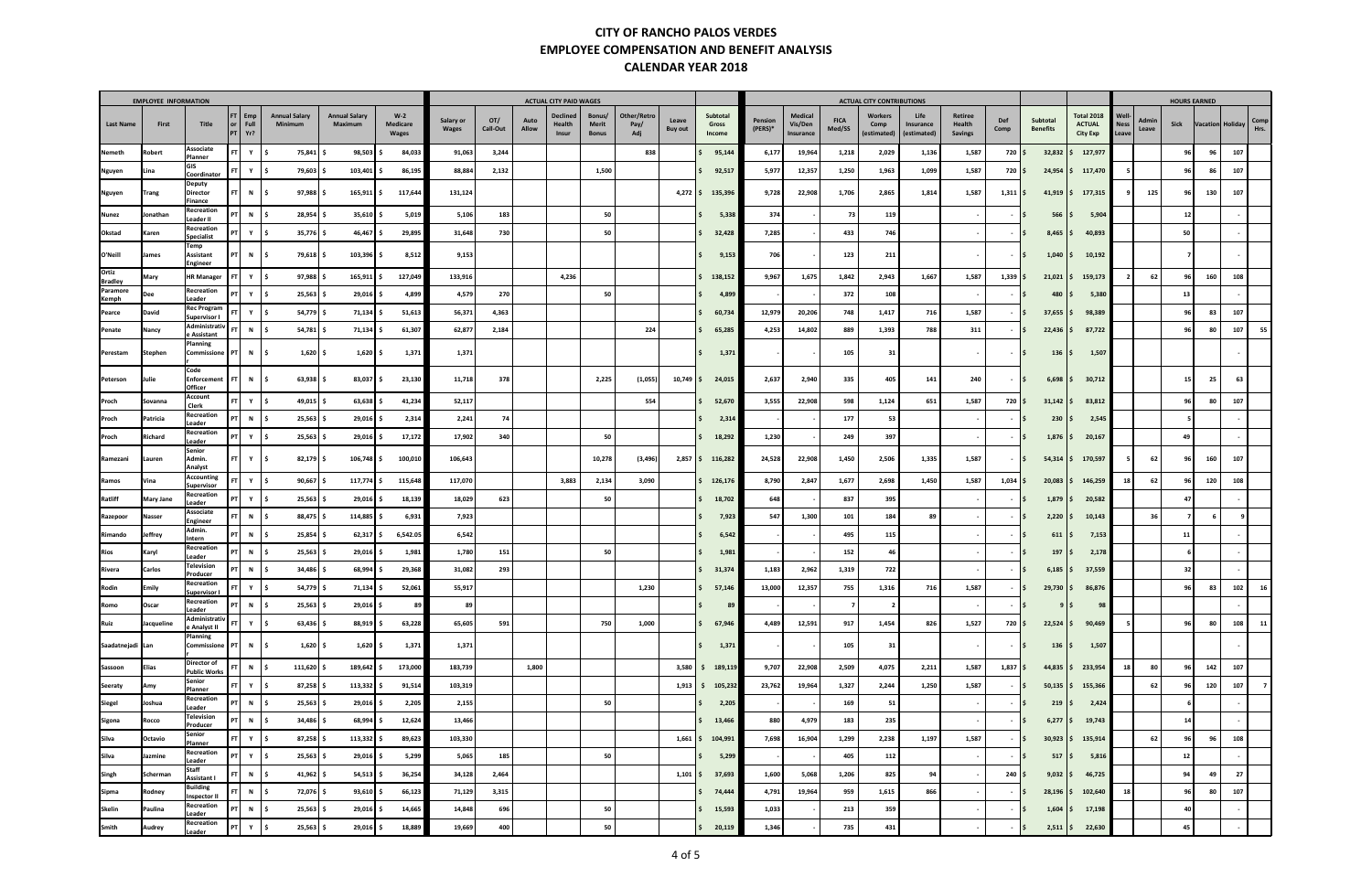| <b>EMPLOYEE INFORMATION</b> |                  |                                        |                                       |                                 |                                 |                                   |                    |                 | <b>ACTUAL CITY PAID WAGES</b> |                                    |                                        |                            |                  |                             |                    |                                 | <b>ACTUAL CITY CONTRIBUTIONS</b> |                                |                                  |                                     |                                    |                                            |                                                       |                               | <b>HOURS EARNED</b> |                 |                  |              |
|-----------------------------|------------------|----------------------------------------|---------------------------------------|---------------------------------|---------------------------------|-----------------------------------|--------------------|-----------------|-------------------------------|------------------------------------|----------------------------------------|----------------------------|------------------|-----------------------------|--------------------|---------------------------------|----------------------------------|--------------------------------|----------------------------------|-------------------------------------|------------------------------------|--------------------------------------------|-------------------------------------------------------|-------------------------------|---------------------|-----------------|------------------|--------------|
| <b>Last Name</b>            | First            | Title                                  | $FT$ Emp<br>Full<br>or<br>$PT$ $Yr$ ? | <b>Annual Salary</b><br>Minimum | <b>Annual Salary</b><br>Maximum | $W-2$<br>Medicare<br><b>Wages</b> | Salary or<br>Wages | OT/<br>Call-Out | Auto<br>Allow                 | <b>Declined</b><br>Health<br>Insur | Bonus/<br><b>Merit</b><br><b>Bonus</b> | Other/Retro<br>Pay/<br>Adj | Leave<br>Buy out | Subtotal<br>Gross<br>Income | Pension<br>(PERS)* | Medical<br>Vis/Den<br>Insurance | <b>FICA</b><br>Med/SS            | Workers<br>Comp<br>(estimated) | Life<br>Insurance<br>(estimated) | Retiree<br>Health<br><b>Savings</b> | Def<br>Comp                        | <b>Subtotal</b><br><b>Benefits</b>         | <b>Total 2018</b><br><b>ACTUAL</b><br><b>City Exp</b> | Well-<br><b>Ness</b><br>Leave | Admin<br>Leave      | Sick            | Vacation Holiday | Comp<br>Hrs. |
| Nemeth                      | Robert           | Associate<br>Planner                   | FT.<br>Y                              | 75,841<br>۱s                    | 98,503                          | 84,033<br>s                       | 91,063             | 3,244           |                               |                                    |                                        | 838                        |                  | 95,144                      | 6,177              | 19,964                          | 1,218                            | 2,029                          | 1,136                            | 1,587                               | 720 \$                             | 32,832                                     | 127,977                                               |                               |                     | 96              | 96               | 107          |
| Nguyen                      | Lina             | GIS<br>Coordinator                     | Y \$<br>FT.                           | 79,603 \$                       | 103,401 \$                      | 86,195                            | 88,884             | 2,132           |                               |                                    | 1,500                                  |                            |                  | 92,517                      | 5,977              | 12,357                          | 1,250                            | 1,963                          | 1,099                            | 1,587                               | 720 \$                             | 24,954                                     | 117,470                                               |                               |                     | 96              | 86               | 107          |
| Nguyen                      | Trang            | <b>Deputy</b><br>Director              | FT<br>N S                             | 97,988                          | $165,911$ \$                    | 117,644                           | 131,124            |                 |                               |                                    |                                        |                            | $4,272$ \$       | 135,396                     | 9,728              | 22,908                          | 1,706                            | 2,865                          | 1,814                            | 1,587                               | $1,311$ \$                         | $41,919$ \$                                | 177,315                                               |                               | 125                 | 96              | 130              | 107          |
| Nunez                       | Jonathan         | Finance<br>Recreation<br>Leader II     | $N \mid \zeta$<br>PT                  | $28,954$ \$                     | $35,610$ \$                     | 5,019                             | 5,106              | 183             |                               |                                    | 50                                     |                            |                  | 5,338                       | 374                |                                 | 73                               | 119                            |                                  |                                     | $\sim$                             | 566<br>IS.                                 | 5,904<br>IS.                                          |                               |                     | 12              |                  |              |
| Okstad                      | Karen            | Recreation<br>Specialist               | Y S<br><b>PT</b>                      | $35,776$ \$                     | 46,467                          | 29,895                            | 31,648             | 730             |                               |                                    | 50                                     |                            |                  | 32,428                      | 7,285              |                                 | 433                              | 746                            |                                  |                                     |                                    | 8,465                                      | 40,893                                                |                               |                     | 50              |                  |              |
| O'Neill                     | James            | Temp<br>Assistant<br><b>Engineer</b>   | PT<br>N   \$                          | 79,618 \$                       | $103,396$ \$                    | 8,512                             | 9,153              |                 |                               |                                    |                                        |                            |                  | 9,153                       | 706                |                                 | 123                              | 211                            |                                  |                                     | $-15$                              | $1,040$ \$                                 | 10,192                                                |                               |                     |                 |                  |              |
| Ortiz<br><b>Bradley</b>     | Mary             | <b>HR Manager</b>                      | FT.<br>Y \$                           | $97,988$ \$                     | $165,911$ \$                    | 127,049                           | 133,916            |                 |                               | 4,236                              |                                        |                            |                  | 138,152                     | 9,967              | 1,675                           | 1,842                            | 2,943                          | 1,667                            | 1,587                               | $1,339$ \$                         | 21,021                                     | 159,173                                               |                               | 62                  | 96              | 160              | 108          |
| Paramore<br>Kemph           | Dee              | Recreation<br>Leader                   | Y S                                   | $25,563$ \$                     | $29,016$ \$                     | 4,899                             | 4,579              | 270             |                               |                                    | 50                                     |                            |                  | 4,899                       |                    |                                 | 372                              | 108                            |                                  |                                     | $\sim$                             | $480 \,   \, \xi$<br>$\mathsf{S}$          | 5,380                                                 |                               |                     | 13              |                  |              |
| Pearce                      | David            | Rec Program<br>Supervisor I            | Y S                                   |                                 | $54,779$ \$<br>$71,134$ \$      | 51,613                            | 56,371             | 4,363           |                               |                                    |                                        |                            |                  | 60,734                      | 12,979             | 20,206                          | 748                              | 1,417                          | 716                              | 1,587                               |                                    | 37,655<br>ΙS                               | 98,389                                                |                               |                     | 96              | 83               | 107          |
| Penate                      | Nancy            | Administrativ<br>Assistant !           | $\mathbf N$                           | $\vert$ \$                      | $54,781$ \$<br>71,134           | 61,307<br>s                       | 62,877             | 2,184           |                               |                                    |                                        | 224                        |                  | 65,285                      | 4,253              | 14,802                          | 889                              | 1,393                          | 788                              | 311                                 | <b>.</b>                           | 22,436<br>IŞ.                              | 87,722                                                |                               |                     | 96              | 80               | 107          |
| Perestam                    | Stephen          | Planning<br>Commissione                | N<br><b>PT</b>                        | $\sqrt{5}$                      | $1,620$ \$<br>$1,620$ \$        | 1,371                             | 1,371              |                 |                               |                                    |                                        |                            |                  | 1,371                       |                    |                                 | 105                              | 31                             |                                  |                                     | $\overline{\phantom{a}}$<br>$\sim$ | 136                                        | 1,507<br>IS.                                          |                               |                     |                 |                  |              |
| Peterson                    | Julie            | Code<br><b>Enforcement</b>             | N S<br>FT I                           |                                 | $63,938$ \$<br>$83,037$ \$      | 23,130                            | 11,718             | 378             |                               |                                    | 2,225                                  | (1,055)                    | $10,749$ \$      | 24,015                      | 2,637              | 2,940                           | 335                              | 405                            | 141                              | 240                                 | $-15$                              | 6,698                                      | 30,712<br>IS.                                         |                               |                     | 15 <sup>1</sup> | 25               | 63           |
| Proch                       | Sovanna          | Officer<br>Account<br>Clerk            | Y S<br>FT.                            | 49,015 \$                       | $63,638$ \$                     | 41,234                            | 52,117             |                 |                               |                                    |                                        | 554                        |                  | 52,670                      | 3,555              | 22,908                          | 598                              | 1,124                          | 651                              | 1,587                               | $720 \,$ \$                        | $31,142$ \$                                | 83,812                                                |                               |                     | 96              | 80               | 107          |
| Proch                       | Patricia         | Recreation<br>Leader                   | PT<br>N \$                            | $25,563$ \$                     | 29,016 \$                       | 2,314                             | 2,241              | 74              |                               |                                    |                                        |                            |                  | 2,314                       |                    |                                 | 177                              | 53                             |                                  |                                     |                                    | 230<br>l S                                 | 2,545                                                 |                               |                     |                 |                  |              |
| Proch                       | Richard          | Recreation<br>Leader                   | PT I<br>Y \$                          | $25,563$ \$                     | 29,016 \$                       | 17,172                            | 17,902             | 340             |                               |                                    | 50                                     |                            |                  | 18,292                      | 1,230              |                                 | 249                              | 397                            |                                  |                                     | $\sim$                             | 1,876<br>l S                               | 20,167<br>IS.                                         |                               |                     | 49              |                  |              |
| Ramezani                    | Lauren           | Senior<br>Admin.<br>Analyst            | Y S<br>FT.                            |                                 | $82,179$ \$<br>$106,748$ \$     | 100,010                           | 106,643            |                 |                               |                                    | 10,278                                 | (3, 496)                   |                  | $2,857$ \$ 116,282          | 24,528             | 22,908                          | 1,450                            | 2,506                          | 1,335                            | 1,587                               | $-15$                              | 54,314                                     | 170,597                                               |                               | 62                  | 96              | 160              | 107          |
| Ramos                       | Vina             | <b>Accounting</b><br>Supervisor        | Y S<br>FT I                           | $90,667$ \$                     | $117,774$ \$                    | 115,648                           | 117,070            |                 |                               | 3,883                              | 2,134                                  | 3,090                      |                  | 126,176                     | 8,790              | 2,847                           | 1,677                            | 2,698                          | 1,450                            | 1,587                               | $1,034$ \$                         | 20,083                                     | 146,259                                               | 18                            | 62                  | 96              | 120              | 108          |
| Ratliff                     | <b>Mary Jane</b> | Recreation<br>Leader                   | Y 5<br>PT                             | $25,563$ \$                     | $29,016$ \$                     | 18,139                            | 18,029             | 623             |                               |                                    | 50                                     |                            |                  | 18,702                      | 648                |                                 | 837                              | 395                            |                                  |                                     |                                    | 1,879<br>l S                               | 20,582                                                |                               |                     | 47              |                  |              |
| Razepoor                    | Nasser           | Associate<br><b>Engineer</b>           | N<br><b>FT</b>                        | $\vert$ \$<br>88,475   \$       | 114,885                         | 6,931<br>-S                       | 7,923              |                 |                               |                                    |                                        |                            |                  | 7,923                       | 547                | 1,300                           | 101                              | 184                            | 89                               |                                     |                                    | $2,220$ \$<br>۱s                           | 10,143                                                |                               | 36                  |                 | - 6              |              |
| Rimando                     | Jeffrey          | Admin.<br>Intern                       | $N \mid \zeta$<br>PT I                |                                 | $25,854$ \$<br>$62,317$ \$      | 6,542.05                          | 6,542              |                 |                               |                                    |                                        |                            |                  | 6,542                       |                    |                                 | 495                              | 115                            |                                  |                                     |                                    | 611<br>ΙS                                  | 7,153<br>l S                                          |                               |                     | 11              |                  |              |
| Rios                        | Karyl            | Recreation<br>Leader                   | $N \mid \zeta$<br>PT                  |                                 | $25,563$ \$<br>$29,016$ \$      | 1,981                             | 1,780              | 151             |                               |                                    | 50                                     |                            |                  | 1,981                       |                    |                                 | 152                              | 46                             |                                  |                                     | $\overline{\phantom{a}}$           | 197<br>l S                                 | 2,178                                                 |                               |                     |                 |                  |              |
| Rivera                      | Carlos           | Television<br>Producer                 | N                                     | 34,486<br>١s                    | 68,994                          | 29,368                            | 31,082             | 293             |                               |                                    |                                        |                            |                  | 31,374                      | 1,183              | 2,962                           | 1,319                            | 722                            |                                  |                                     |                                    | 6,185                                      | 37,559                                                |                               |                     | 32              |                  |              |
| Rodin                       | Emily            | Recreation<br>upervisor I              | FT I<br>Y S                           | $54,779$ \$                     | 71,134                          | 52,061<br>- Ś                     | 55,917             |                 |                               |                                    |                                        | 1,230                      |                  | 57,146                      | 13,000             | 12,357                          | 755                              | 1,316                          | 716                              | 1,587                               |                                    | 29,730<br>l S                              | 86,876                                                |                               |                     | 96              | 83               | 102          |
| Romo                        | Oscar            | Recreation<br>Leader                   | $N \mid \zeta$<br>PT I                | $25,563$ \$                     | $29,016$ \$                     | 89                                | 89                 |                 |                               |                                    |                                        |                            |                  | 89                          |                    |                                 | $\overline{7}$                   | $\overline{\mathbf{2}}$        |                                  |                                     | $\sim$                             | $9 \mid \xi$<br>IS.                        | 98                                                    |                               |                     |                 |                  |              |
| Ruiz                        | Jacqueline       | Administrativ<br>e Analyst II          | Y 5                                   |                                 | $63,436$ \$<br>88,919 \$        | 63,228                            | 65,605             | 591             |                               |                                    | 750                                    | 1,000                      |                  | 67,946                      | 4,489              | 12,591                          | 917                              | 1,454                          | 826                              | 1,527                               | 720   \$                           | $22,524$ \$                                | 90,469                                                |                               |                     | 96              | 80               | 108<br>11    |
| Saadatnejadi Lan            |                  | Planning                               | Commissione $ PT  N$ $\leq$           |                                 | $1,620$ \$                      | 1,620 \$<br>1,371                 | 1,371              |                 |                               |                                    |                                        |                            |                  | 1,371                       |                    |                                 | 105                              | 31                             |                                  |                                     | $-15$                              | $136 \,$ \$                                | 1,507                                                 |                               |                     |                 |                  |              |
| Sassoon                     | Elias            | Director of<br><b>Public Works</b>     | $N \mid \zeta$                        | $111,620$ \$                    | 189,642 \$                      | 173,000                           | 183,739            |                 | 1,800                         |                                    |                                        |                            | 3,580            | \$189,119                   | 9,707              | 22,908                          | 2,509                            | 4,075                          | 2,211                            | 1,587                               | $1,837$ \$                         |                                            | 44,835 \$233,954                                      | 18                            | 80                  | 96              | 142              | 107          |
| Seeraty                     | Amy              | Senior<br>Planner                      | FT I<br>Y \$                          |                                 | $87,258$ \$<br>$113,332$ \$     | 91,514                            | 103,319            |                 |                               |                                    |                                        |                            | 1,913            | \$105,232                   | 23,762             | 19,964                          | 1,327                            | 2,244                          | 1,250                            | 1,587                               | $-15$                              |                                            | $50,135$ \$ 155,366                                   |                               | 62                  | 96              | 120              | 107          |
| Siegel                      | Joshua           | Recreation<br>Leader                   | $N \mid \zeta$<br>PTI                 |                                 | $25,563$ \$<br>29,016 \$        | 2,205                             | 2,155              |                 |                               |                                    | 50                                     |                            |                  | 2,205                       |                    |                                 | 169                              | 51                             |                                  |                                     | $\sim$                             | $219 \mid \xi$<br>$\overline{\phantom{a}}$ | 2,424                                                 |                               |                     |                 |                  |              |
| Sigona                      | Rocco            | Television<br>Producer                 | $N \quad$ \$<br>PT                    | $34,486$ \$                     | $68,994$ \$                     | 12,624                            | 13,466             |                 |                               |                                    |                                        |                            |                  | 13,466                      | 880                | 4,979                           | 183                              | 235                            |                                  |                                     | $-15$                              | $6,277$ \$                                 | 19,743                                                |                               |                     | 14              |                  |              |
| Silva                       | Octavio          | Senior<br>Planner                      | Y S<br><b>FT</b>                      | $87,258$ \$                     | $113,332$ \$                    | 89,623                            | 103,330            |                 |                               |                                    |                                        |                            |                  | $1,661$ \$ 104,991          | 7,698              | 16,904                          | 1,299                            | 2,238                          | 1,197                            | 1,587                               | $-15$                              |                                            | $30,923$ \$ 135,914                                   |                               | 62                  | 96              | 96               | 108          |
| Silva                       | Jazmine          | Recreation<br>Leader                   | $PT$ $Y$ $\frac{1}{5}$                |                                 | $25,563$ \$<br>29,016 \$        | 5,299                             | 5,065              | 185             |                               |                                    | 50                                     |                            |                  | 5,299                       |                    |                                 | 405                              | 112                            |                                  |                                     | $-15$                              | $517 \, \text{S}$                          | 5,816                                                 |                               |                     | 12              |                  |              |
| Singh                       | Scherman         | Staff<br>Assistant I                   | FT<br>$N \mid \zeta$                  |                                 | $41,962$ \$<br>54,513 \$        | 36,254                            | 34,128             | 2,464           |                               |                                    |                                        |                            | $1,101$ \$       | 37,693                      | 1,600              | 5,068                           | 1,206                            | 825                            | 94                               |                                     | $240 \mid 5$                       | $9,032$ \$                                 | 46,725                                                |                               |                     | 94              | 49               | 27           |
| Sipma                       | Rodney           | <b>Building</b><br><b>Inspector II</b> | $N \mid \zeta$                        | 72,076 \$                       | $93,610$ \$                     | 66,123                            | 71,129             | 3,315           |                               |                                    |                                        |                            |                  | 74,444                      | 4,791              | 19,964                          | 959                              | 1,615                          | 866                              |                                     |                                    | $28,196$ $\frac{1}{2}$<br>l S              | 102,640                                               | 18                            |                     | 96              | 80               | 107          |
| Skelin                      | Paulina          | Recreation<br>Leader                   | $N$ 5<br>PT I                         |                                 | $25,563$ \$<br>$29,016$ \$      | 14,665                            | 14,848             | 696             |                               |                                    | 50                                     |                            |                  | 15,593                      | 1,033              |                                 | 213                              | 359                            |                                  |                                     | $\sim$                             | IS.                                        | $1,604$ \$ 17,198                                     |                               |                     | 40              |                  |              |
| Smith                       | Audrey           | Recreation<br>Leader                   | Y \$<br>PT                            |                                 | $25,563$ \$<br>$29,016$ \$      | 18,889                            | 19,669             | 400             |                               |                                    | 50                                     |                            |                  | 20,119                      | 1,346              |                                 | 735                              | 431                            |                                  |                                     | $\sim$                             | $2,511$   \$<br>$\overline{\phantom{a}}$   | 22,630                                                |                               |                     | 45              |                  |              |